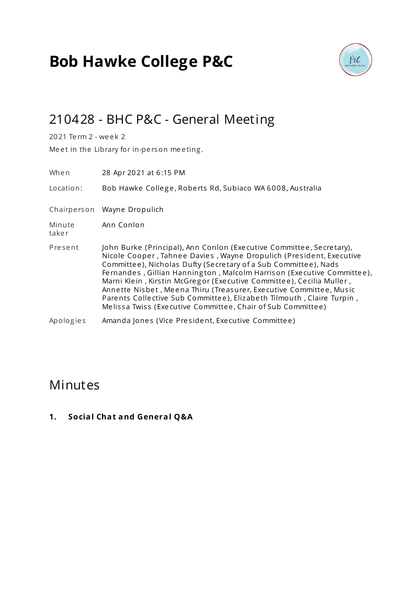# **Bob Hawke College P&C**



# 210428 - BHC P&C - General Meeting

2021 Te rm 2 - we e k 2

Meet in the Library for in-person meeting.

| When            | 28 Apr 2021 at 6:15 PM                                                                                                                                                                                                                                                                                                                                                                                                                                                                                                                                                         |  |
|-----------------|--------------------------------------------------------------------------------------------------------------------------------------------------------------------------------------------------------------------------------------------------------------------------------------------------------------------------------------------------------------------------------------------------------------------------------------------------------------------------------------------------------------------------------------------------------------------------------|--|
| Location:       | Bob Hawke College, Roberts Rd, Subiaco WA 6008, Australia                                                                                                                                                                                                                                                                                                                                                                                                                                                                                                                      |  |
|                 | Chairperson Wayne Dropulich                                                                                                                                                                                                                                                                                                                                                                                                                                                                                                                                                    |  |
| Minute<br>taker | Ann Conlon                                                                                                                                                                                                                                                                                                                                                                                                                                                                                                                                                                     |  |
| Present         | John Burke (Principal), Ann Conlon (Executive Committee, Secretary),<br>Nicole Cooper, Tahnee Davies, Wayne Dropulich (President, Executive<br>Committee), Nicholas Dufty (Secretary of a Sub Committee), Nads<br>Fernandes, Gillian Hannington, Malcolm Harrison (Executive Committee),<br>Marni Klein, Kirstin McGregor (Executive Committee), Cecilia Muller,<br>Annette Nisbet, Meena Thiru (Treasurer, Executive Committee, Music<br>Parents Collective Sub Committee), Elizabeth Tilmouth, Claire Turpin,<br>Melissa Twiss (Executive Committee, Chair of Sub Committee) |  |
| Apologies       | Amanda Jones (Vice President, Executive Committee)                                                                                                                                                                                                                                                                                                                                                                                                                                                                                                                             |  |

### Minutes

**1. Social Chat and General Q&A**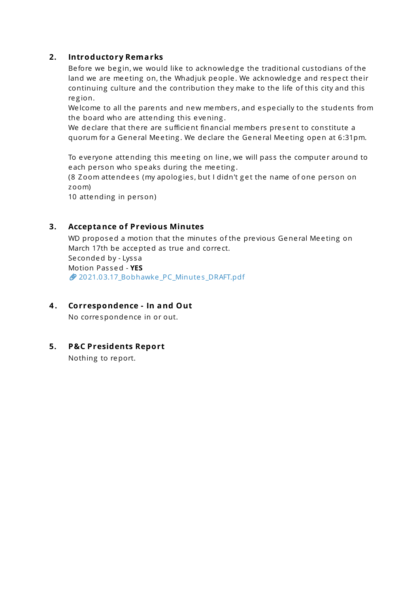#### **2. Introductory Remarks**

Be fore we begin, we would like to acknowledge the traditional custodians of the land we are meeting on, the Whadjuk people. We acknowledge and respect their continuing culture and the contribution they make to the life of this city and this re g ion.

We lcome to all the parents and new members, and especially to the students from the board who are attending this e vening .

We declare that there are sufficient financial members present to constitute a quorum for a General Meeting. We declare the General Meeting open at 6:31pm.

To everyone attending this meeting on line, we will pass the computer around to each person who speaks during the meeting.

(8 Zoom attendees (my apologies, but I didn't get the name of one person on zoom)

10 attending in person)

#### **3. Acceptance of Previous Minutes**

WD proposed a motion that the minutes of the previous General Meeting on March 17th be accepted as true and corre ct. Se conded by - Lys sa Motion Pas sed - **YES** 2021.03.17 Bobhawke PC Minutes DRAFT.pdf

**4 . Correspondence - In and Out**

No corre spondence in or out.

#### **5. P&C Presidents Report**

Nothing to report.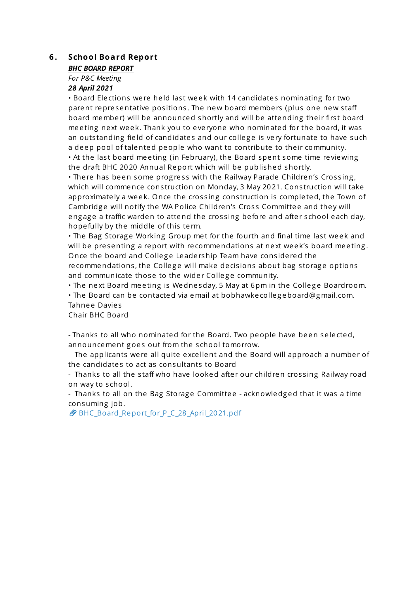#### **6 . School Board Report**

#### *BHC BOARD REPORT*

*For P&C Meeting*

### *28 April 2021*

• Board Elections were held last week with 14 candidates nominating for two parent representative positions. The new board members (plus one new staff board member) will be announced shortly and will be attending their first board meeting next week. Thank you to everyone who nominated for the board, it was an outstanding field of candidates and our college is very fortunate to have such a deep pool of talented people who want to contribute to their community. • At the last board meeting (in February), the Board spent some time reviewing the draft BHC 2020 Annual Report which will be published shortly.

• There has been some progress with the Railway Parade Children's Crossing, which will commence construction on Monday, 3 May 2021. Construction will take approximately a week. Once the crossing construction is completed, the Town of Cambridge will notify the WA Police Children's Cross Committee and they will engage a traffic warden to attend the crossing before and after school each day, hope fully by the middle of this te rm.

• The Bag Storage Working Group met for the fourth and final time last week and will be presenting a report with recommendations at next week's board meeting. Once the board and College Leadership Team have considered the re commendations, the College will make decisions about bag storage options and communicate those to the wider College community.

• The next Board meeting is Wednesday, 5 May at 6pm in the College Boardroom.

• The Board can be contacted via email at bobhawke colle g eboard@g mail.com. Tahnee Davies

Chair BHC Board

- Thanks to all who nominated for the Board. Two people have been selected, announcement goes out from the school tomorrow.

The applicants were all quite excellent and the Board will approach a number of the candidates to act as consultants to Board

- Thanks to all the staff who have looked after our children crossing Railway road on way to s chool.

- Thanks to all on the Bag Storage Committee - acknowledged that it was a time consuming job.

BHC\_Board\_Report\_for\_P\_C\_28\_April\_2021.pdf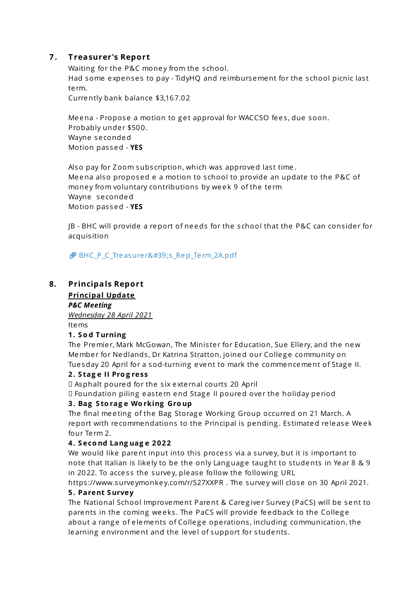#### **7 . T reasurer's Report**

Waiting for the P&C money from the school. Had some expenses to pay - TidyHQ and reimbursement for the school picnic last te rm.

Currently bank balance \$3,167.02

Meena - Propose a motion to get approval for WACCSO fees, due soon. Probably under \$500. Wayne se conded Motion pas sed - **YES**

Also pay for Zoom subscription, which was approved last time. Me ena also proposed e a motion to s chool to provide an update to the P&C of money from voluntary contributions by week 9 of the term Wayne se conded Motion pas sed - **YES**

JB - BHC will provide a report of ne eds for the s chool that the P&C can cons ide r for acquis ition

**BHC\_P\_C\_Treasure r's\_Rep\_Term\_2A.pdf** 

#### **8. Principals Report**

**Principal Update**

*P&C Meeting Wednesday 28 April 2021* Items

#### **1. S o d Turning**

The Premier, Mark McGowan, The Minister for Education, Sue Ellery, and the new Member for Nedlands, Dr Katrina Stratton, joined our College community on Tuesday 20 April for a sod-turning event to mark the commencement of Stage II.

#### **2. S tag e II Pro g ress**

Asphalt poured for the s ix e xte rnal courts 20 April

Foundation piling e as te rn end Stag e II poured ove r the holiday pe riod

#### **3. Bag S to rag e Wo rking Gro up**

The final meeting of the Bag Storage Working Group occurred on 21 March. A report with recommendations to the Principal is pending. Estimated release Week four Te rm 2.

#### **4. S eco nd Lang uag e 2022**

We would like parent input into this process via a survey, but it is important to note that Italian is likely to be the only Language taught to students in Year 8 & 9 in 2022. To access the survey, please follow the following URL

https ://www.surve ymonke y.com/r/S27XXPR . The surve y will close on 30 April 2021. **5. Parent Survey**

#### The National School Improvement Parent & Caregiver Survey (PaCS) will be sent to parents in the coming weeks. The PaCS will provide feedback to the College about a range of elements of College operations, including communication, the learning environment and the level of support for students.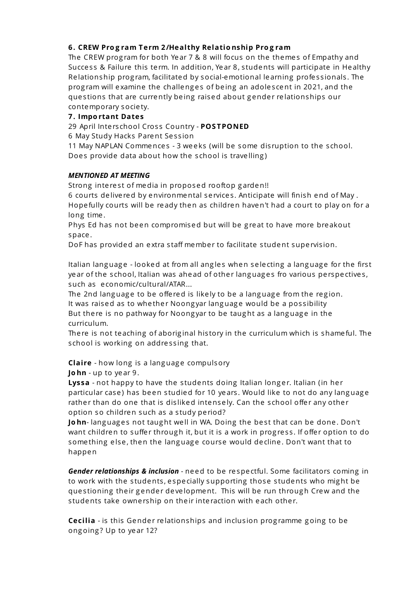#### **6. CREW Pro g ram Term 2/Healthy Relatio nship Pro g ram**

The CREW program for both Year 7 & 8 will focus on the themes of Empathy and Success & Failure this term. In addition, Year 8, students will participate in Healthy Relationship program, facilitated by social-emotional learning professionals. The program will examine the challenges of being an adolescent in 2021, and the questions that are currently being raised about gender relationships our contemporary socie ty.

#### **7. Impo rtant Dates**

29 April Inte rs chool Cros s Country - **POS TPONED**

6 May Study Hacks Parent Session

11 May NAPLAN Commences - 3 weeks (will be some disruption to the school. Does provide data about how the school is travelling)

#### *MENTIONED AT MEETING*

Strong interest of media in proposed rooftop garden!!

6 courts de live red by environmental se rvice s . Anticipate will finish end of May . Hope fully courts will be re ady then as children haven't had a court to play on for a long time .

Phys Ed has not been compromised but will be great to have more breakout space .

DoF has provided an e xtra s taff membe r to facilitate s tudent supe rvis ion.

Italian language - looked at from all angles when selecting a language for the first year of the school, Italian was ahead of other languages fro various perspectives, such as e conomic/cultural/ATAR...

The 2nd language to be offered is likely to be a language from the region. It was raised as to whether Noongyar language would be a possibility But there is no pathway for Noongyar to be taught as a language in the curriculum.

There is not teaching of aboriginal history in the curriculum which is shameful. The school is working on addressing that.

**Claire** - how long is a language compulsory

**Jo hn** - up to ye ar 9.

**Lyssa** - not happy to have the students doing Italian longer. Italian (in her particular case) has been studied for 10 years. Would like to not do any language rather than do one that is disliked intensely. Can the school offer any other option so children such as a study period?

John-languages not taught well in WA. Doing the best that can be done. Don't want children to suffer through it, but it is a work in progress. If offer option to do something else, then the language course would decline. Don't want that to happen

*Gender relationships & inclusion* - ne ed to be re spe ctful. Some facilitators coming in to work with the students, especially supporting those students who might be questioning their gender development. This will be run through Crew and the students take ownership on their interaction with each other.

**Cecilia** - is this Gender relationships and inclusion programme going to be ong oing ? Up to ye ar 12?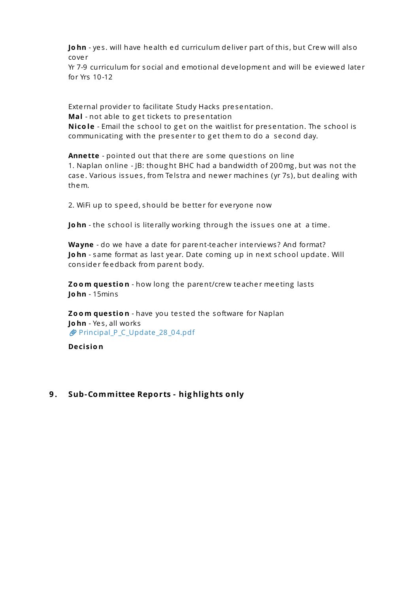John - yes. will have health ed curriculum deliver part of this, but Crew will also cove r

Yr 7-9 curriculum for social and emotional development and will be eviewed later for Yrs 10-12

External provider to facilitate Study Hacks presentation. Mal - not able to get tickets to presentation **Nicole** - Email the school to get on the waitlist for presentation. The school is communicating with the presenter to get them to do a second day.

**Annette** - pointed out that there are some questions on line 1. Naplan online - JB: thoug ht BHC had a bandwidth of 200mg , but was not the case. Various issues, from Telstra and newer machines (yr 7s), but dealing with them.

2. WiFi up to speed, should be better for everyone now

**John** - the school is literally working through the issues one at a time.

**Wayne** - do we have a date for parent-teacher interviews? And format? **John** - same format as last year. Date coming up in next school update. Will consider feedback from parent body.

**Zo o m questio n** - how long the parent/crew te ache r me e ting las ts **Jo hn** - 15mins

**Zoom question** - have you tested the software for Naplan **Jo hn** - Ye s , all works Principal\_P\_C\_Update \_28\_04.pdf

**Decisio n**

#### **9 . Sub-Committee Reports - hig hlig hts only**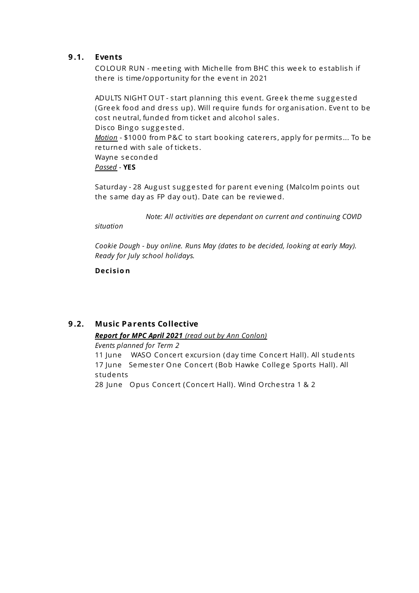#### **9 .1. Events**

COLOUR RUN - meeting with Michelle from BHC this week to establish if there is time/opportunity for the event in 2021

ADULTS NIGHT OUT - start planning this event. Greek theme suggested (Greek food and dress up). Will require funds for organisation. Event to be cost neutral, funded from ticket and alcohol sales. Disco Bingo suggested. *Motion* - \$1000 from P&C to start booking caterers, apply for permits... To be re turned with sale of ticke ts . Wayne se conded *Passed* - **YES**

Saturday - 28 August suggested for parent evening (Malcolm points out the same day as FP day out). Date can be re viewed.

*Note: All activities are dependant on current and continuing COVID*

*situation*

*Cookie Dough - buy online. Runs May (dates to be decided, looking at early May). Ready for July school holidays.*

**Decisio n**

#### **9 .2. Music Parents Collective**

### *Report for MPC April 2021 (read out by Ann Conlon)*

*Events planned for Term 2*

11 June WASO Concert excursion (day time Concert Hall). All students 17 June Semester One Concert (Bob Hawke College Sports Hall). All s tudents

28 June Opus Concert (Concert Hall). Wind Orchestra 1 & 2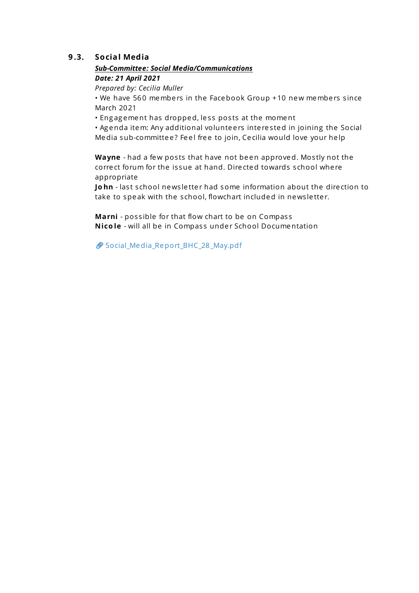#### **9 .3. Social Media**

#### *Sub-Committee: Social Media/Communications Date: 21 April 2021*

*Prepared by: Cecilia Muller*

• We have 560 members in the Facebook Group +10 new members since March 2021

• Engagement has dropped, less posts at the moment

• Agenda item: Any additional volunteers interested in joining the Social Media sub-committee? Feel free to join, Cecilia would love your help

**Wayne** - had a few posts that have not been approved. Mostly not the corre ct forum for the is sue at hand. Dire cted towards s chool whe re appropriate

**John** - last school news letter had some information about the direction to take to speak with the school, flowchart included in newsletter.

Marni - possible for that flow chart to be on Compass **Nicole** - will all be in Compass under School Documentation

Social Media Report BHC 28 May.pdf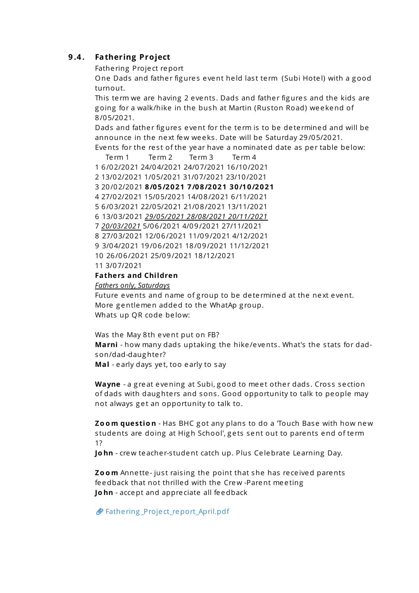#### **9 .4 . Fathering Project**

Fathe ring Proje ct report

One Dads and father figures event held last term (Subi Hotel) with a good turnout.

This term we are having 2 events. Dads and father figures and the kids are going for a walk/hike in the bush at Martin (Ruston Road) weekend of 8/05/2021.

Dads and father figures event for the term is to be determined and will be announce in the next few weeks. Date will be Saturday 29/05/2021.

Events for the rest of the year have a nominated date as per table below:

Te rm 1 Te rm 2 Te rm 3 Te rm 4 6/02/2021 24/04/2021 24/07/2021 16/10/2021 13/02/2021 1/05/2021 31/07/2021 23/10/2021 20/02/2021 **8/05/2021 7/08/2021 30/10/2021** 27/02/2021 15/05/2021 14/08/2021 6/11/2021 6/03/2021 22/05/2021 21/08/2021 13/11/2021 13/03/2021 *29/05/2021 28/08/2021 20/11/2021 20/03/2021* 5/06/2021 4/09/2021 27/11/2021 27/03/2021 12/06/2021 11/09/2021 4/12/2021 3/04/2021 19/06/2021 18/09/2021 11/12/2021 26/06/2021 25/09/2021 18/12/2021 3/07/2021

#### **Fathers and Children**

*Fathers only, Saturdays*

Future events and name of group to be determined at the next event. More gentlemen added to the WhatAp group. Whats up QR code below:

Was the May 8th event put on FB? **Marni** - how many dads uptaking the hike /e vents . What's the s tats for dadson/dad-daug hte r?

**Mal** - e arly days ye t, too e arly to say

Wayne - a great evening at Subi, good to meet other dads. Cross section of dads with daughters and sons. Good opportunity to talk to people may not always get an opportunity to talk to.

**Zo o m questio n** - Has BHC g ot any plans to do a 'Touch Base with how new students are doing at High School', gets sent out to parents end of term 1?

John - crew teacher-student catch up. Plus Celebrate Learning Day.

**Zoom** Annette-just raising the point that she has received parents fe edback that not thrilled with the Crew -Parent me e ting **Jo hn** - accept and appre ciate all fe edback

Fathe ring \_Proje ct\_report\_April.pdf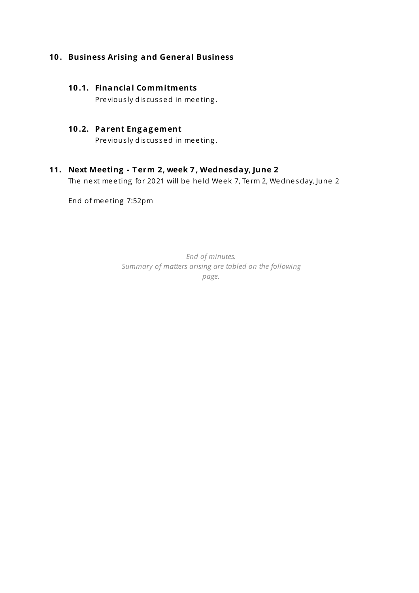#### **10 . Business Arising and General Business**

#### **10 .1. Financial Commitments**

Pre viously discussed in meeting.

#### **10 .2. Parent Eng ag ement**

Previously discussed in meeting.

#### **11. Next Meeting - T erm 2, week 7 , Wednesday, June 2**

The next meeting for 2021 will be held Week 7, Term 2, Wednesday, June 2

End of me e ting 7:52pm

*End of minutes. Summary of matters arising are tabled on the following page.*